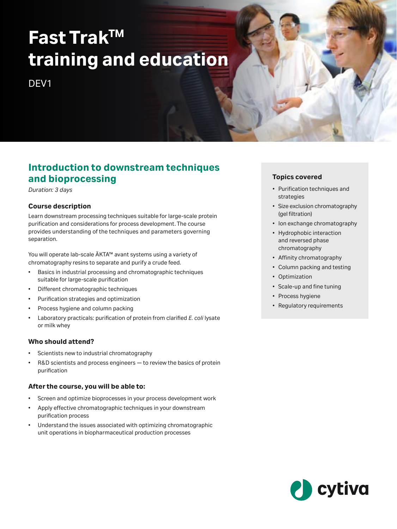# **Fast TrakTM training and education**

DF<sub>V1</sub>

# **Introduction to downstream techniques and bioprocessing**

*Duration: 3 days*

#### **Course description**

Learn downstream processing techniques suitable for large-scale protein purification and considerations for process development. The course provides understanding of the techniques and parameters governing separation.

You will operate lab-scale ÄKTA™ avant systems using a variety of chromatography resins to separate and purify a crude feed.

- Basics in industrial processing and chromatographic techniques suitable for large-scale purification
- Different chromatographic techniques
- Purification strategies and optimization
- Process hygiene and column packing
- Laboratory practicals: purification of protein from clarified *E. coli* lysate or milk whey

#### **Who should attend?**

- Scientists new to industrial chromatography
- R&D scientists and process engineers to review the basics of protein purification

#### **After the course, you will be able to:**

- Screen and optimize bioprocesses in your process development work
- Apply effective chromatographic techniques in your downstream purification process
- Understand the issues associated with optimizing chromatographic unit operations in biopharmaceutical production processes

#### **Topics covered**

- Purification techniques and strategies
- Size exclusion chromatography (gel filtration)
- Ion exchange chromatography
- Hydrophobic interaction and reversed phase chromatography
- Affinity chromatography
- Column packing and testing
- Optimization
- Scale-up and fine tuning
- Process hygiene
- Regulatory requirements

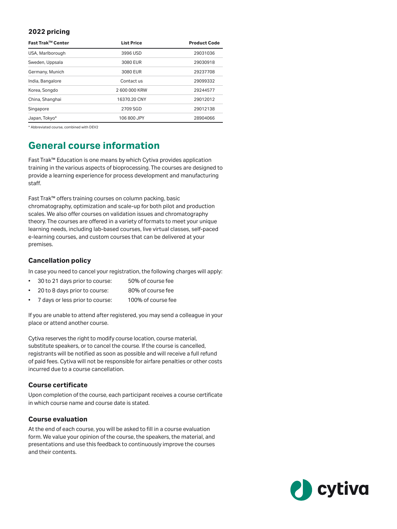#### **2022 pricing**

| Fast Trak™ Center | <b>List Price</b> | <b>Product Code</b> |
|-------------------|-------------------|---------------------|
| USA, Marlborough  | 3996 USD          | 29031036            |
| Sweden, Uppsala   | 3080 EUR          | 29030918            |
| Germany, Munich   | 3080 EUR          | 29237708            |
| India, Bangalore  | Contact us        | 29099332            |
| Korea, Songdo     | 2 600 000 KRW     | 29244577            |
| China, Shanghai   | 16370.20 CNY      | 29012012            |
| Singapore         | 2709 SGD          | 29012138            |
| Japan, Tokyo*     | 106 800 JPY       | 28904066            |

\* Abbreviated course, combined with DEV2

# **General course information**

Fast Trak™ Education is one means by which Cytiva provides application training in the various aspects of bioprocessing. The courses are designed to provide a learning experience for process development and manufacturing staff.

Fast Trak™ offers training courses on column packing, basic chromatography, optimization and scale-up for both pilot and production scales. We also offer courses on validation issues and chromatography theory. The courses are offered in a variety of formats to meet your unique learning needs, including lab-based courses, live virtual classes, self-paced e-learning courses, and custom courses that can be delivered at your premises.

### **Cancellation policy**

In case you need to cancel your registration, the following charges will apply:

- 30 to 21 days prior to course: 50% of course fee
- 20 to 8 days prior to course: 80% of course fee
- 7 days or less prior to course: 100% of course fee

If you are unable to attend after registered, you may send a colleague in your place or attend another course.

Cytiva reserves the right to modify course location, course material, substitute speakers, or to cancel the course. If the course is cancelled, registrants will be notified as soon as possible and will receive a full refund of paid fees. Cytiva will not be responsible for airfare penalties or other costs incurred due to a course cancellation.

#### **Course certificate**

Upon completion of the course, each participant receives a course certificate in which course name and course date is stated.

#### **Course evaluation**

At the end of each course, you will be asked to fill in a course evaluation form. We value your opinion of the course, the speakers, the material, and presentations and use this feedback to continuously improve the courses and their contents.